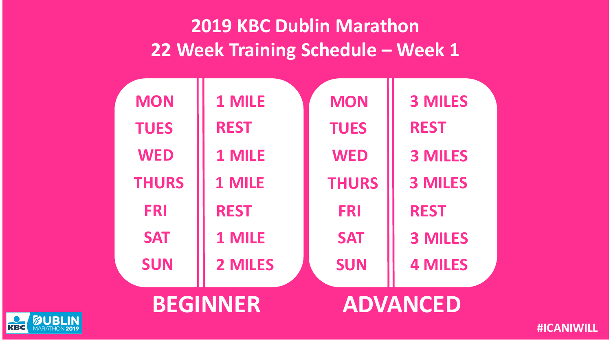| <b>BEGINNER</b> |              |             | <b>ADVANCED</b> |                |
|-----------------|--------------|-------------|-----------------|----------------|
|                 | <b>SUN</b>   | 2 MILES     | <b>SUN</b>      | <b>4 MILES</b> |
|                 | <b>SAT</b>   | 1 MILE      | <b>SAT</b>      | <b>3 MILES</b> |
| <b>FRI</b>      |              | <b>REST</b> | <b>FRI</b>      | <b>REST</b>    |
|                 | <b>THURS</b> | 1 MILE      | <b>THURS</b>    | <b>3 MILES</b> |
| <b>WED</b>      |              | 1 MILE      | <b>WED</b>      | <b>3 MILES</b> |
| <b>TUES</b>     |              | <b>REST</b> | <b>TUES</b>     | <b>REST</b>    |
| <b>MON</b>      |              | 1 MILE      | <b>MON</b>      | <b>3 MILES</b> |
|                 |              |             |                 |                |

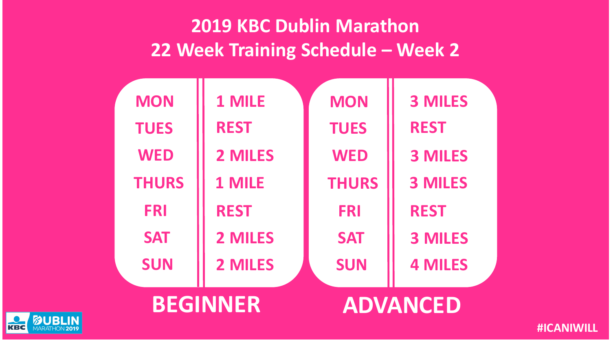| <b>BEGINNER</b> |             |              | <b>ADVANCED</b> |
|-----------------|-------------|--------------|-----------------|
| <b>SUN</b>      | 2 MILES     | <b>SUN</b>   | <b>4 MILES</b>  |
| <b>SAT</b>      | 2 MILES     | <b>SAT</b>   | <b>3 MILES</b>  |
| <b>FRI</b>      | <b>REST</b> | <b>FRI</b>   | <b>REST</b>     |
| <b>THURS</b>    | 1 MILE      | <b>THURS</b> | <b>3 MILES</b>  |
| <b>WED</b>      | 2 MILES     | <b>WED</b>   | <b>3 MILES</b>  |
| <b>TUES</b>     | <b>REST</b> | <b>TUES</b>  | <b>REST</b>     |
| <b>MON</b>      | 1 MILE      | <b>MON</b>   | <b>3 MILES</b>  |
|                 |             |              |                 |

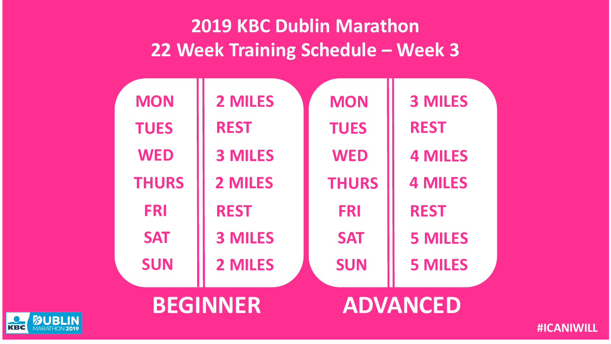| <b>BEGINNER</b> |                |              | <b>ADVANCED</b> |  |
|-----------------|----------------|--------------|-----------------|--|
| <b>SUN</b>      | 2 MILES        | <b>SUN</b>   | <b>5 MILES</b>  |  |
| <b>SAT</b>      | <b>3 MILES</b> | <b>SAT</b>   | <b>5 MILES</b>  |  |
| <b>FRI</b>      | <b>REST</b>    | <b>FRI</b>   | <b>REST</b>     |  |
| <b>THURS</b>    | 2 MILES        | <b>THURS</b> | <b>4 MILES</b>  |  |
| <b>WED</b>      | <b>3 MILES</b> | <b>WED</b>   | <b>4 MILES</b>  |  |
| <b>TUES</b>     | <b>REST</b>    | <b>TUES</b>  | <b>REST</b>     |  |
| <b>MON</b>      | 2 MILES        | <b>MON</b>   | <b>3 MILES</b>  |  |
|                 |                |              |                 |  |

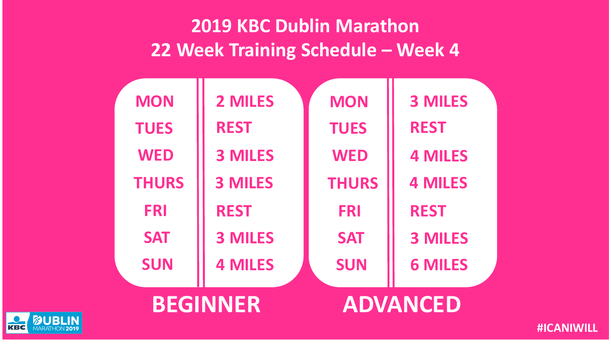| <b>BEGINNER</b> |                |              | <b>ADVANCED</b> |  |
|-----------------|----------------|--------------|-----------------|--|
| <b>SUN</b>      | <b>4 MILES</b> | <b>SUN</b>   | <b>6 MILES</b>  |  |
| <b>SAT</b>      | <b>3 MILES</b> | <b>SAT</b>   | <b>3 MILES</b>  |  |
| <b>FRI</b>      | <b>REST</b>    | <b>FRI</b>   | <b>REST</b>     |  |
| <b>THURS</b>    | <b>3 MILES</b> | <b>THURS</b> | <b>4 MILES</b>  |  |
| <b>WED</b>      | <b>3 MILES</b> | <b>WED</b>   | <b>4 MILES</b>  |  |
| <b>TUES</b>     | <b>REST</b>    | <b>TUES</b>  | <b>REST</b>     |  |
| <b>MON</b>      | 2 MILES        | <b>MON</b>   | <b>3 MILES</b>  |  |
|                 |                |              |                 |  |

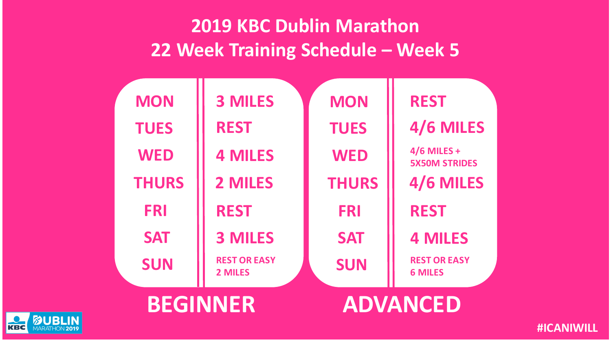| <b>MON</b>   | <b>3 MILES</b>                 | <b>MON</b>   | <b>REST</b>                           |
|--------------|--------------------------------|--------------|---------------------------------------|
| <b>TUES</b>  | <b>REST</b>                    | <b>TUES</b>  | 4/6 MILES                             |
| <b>WED</b>   | <b>4 MILES</b>                 | <b>WED</b>   | $4/6$ MILES +<br><b>5X50M STRIDES</b> |
| <b>THURS</b> | 2 MILES                        | <b>THURS</b> | 4/6 MILES                             |
| <b>FRI</b>   | <b>REST</b>                    | <b>FRI</b>   | <b>REST</b>                           |
| <b>SAT</b>   | <b>3 MILES</b>                 | <b>SAT</b>   | <b>4 MILES</b>                        |
| <b>SUN</b>   | <b>REST OR EASY</b><br>2 MILES | <b>SUN</b>   | <b>REST OR EASY</b><br><b>6 MILES</b> |
|              |                                |              |                                       |



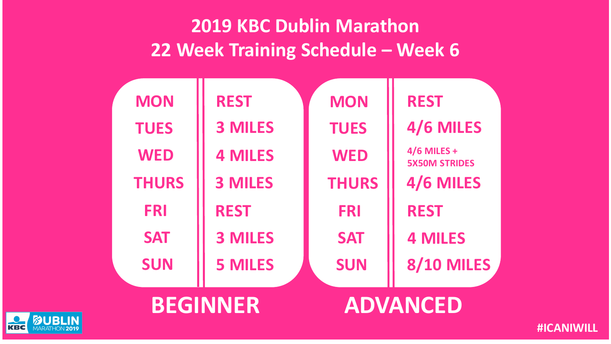|                 | <b>MON</b>   | <b>REST</b>    | <b>MON</b>      | <b>REST</b>                           |
|-----------------|--------------|----------------|-----------------|---------------------------------------|
|                 | <b>TUES</b>  | <b>3 MILES</b> | <b>TUES</b>     | 4/6 MILES                             |
|                 | <b>WED</b>   | <b>4 MILES</b> | <b>WED</b>      | $4/6$ MILES +<br><b>5X50M STRIDES</b> |
|                 | <b>THURS</b> | <b>3 MILES</b> | <b>THURS</b>    | 4/6 MILES                             |
|                 | <b>FRI</b>   | <b>REST</b>    | <b>FRI</b>      | <b>REST</b>                           |
|                 | <b>SAT</b>   | <b>3 MILES</b> | <b>SAT</b>      | <b>4 MILES</b>                        |
|                 | <b>SUN</b>   | <b>5 MILES</b> | <b>SUN</b>      | 8/10 MILES                            |
|                 |              |                |                 |                                       |
| <b>BEGINNER</b> |              |                | <b>ADVANCED</b> |                                       |

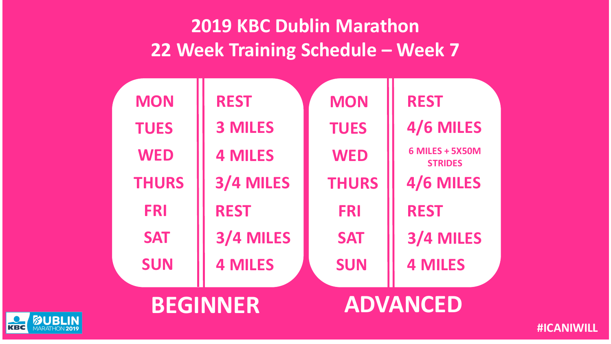| <b>MON</b>      | <b>REST</b>    | <b>MON</b>   | <b>REST</b>                              |
|-----------------|----------------|--------------|------------------------------------------|
| <b>TUES</b>     | <b>3 MILES</b> | <b>TUES</b>  | 4/6 MILES                                |
| <b>WED</b>      | <b>4 MILES</b> | <b>WED</b>   | <b>6 MILES + 5X50M</b><br><b>STRIDES</b> |
| <b>THURS</b>    | 3/4 MILES      | <b>THURS</b> | 4/6 MILES                                |
| <b>FRI</b>      | <b>REST</b>    | <b>FRI</b>   | <b>REST</b>                              |
| <b>SAT</b>      | 3/4 MILES      | <b>SAT</b>   | 3/4 MILES                                |
| <b>SUN</b>      | <b>4 MILES</b> | <b>SUN</b>   | <b>4 MILES</b>                           |
|                 |                |              |                                          |
| <b>BEGINNER</b> |                |              | <b>ADVANCED</b>                          |

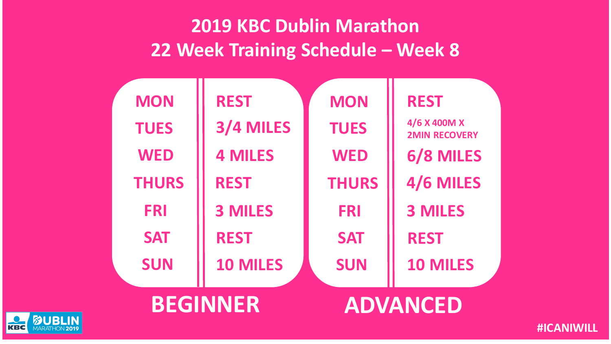| <b>MON</b>      | <b>REST</b>     | <b>MON</b>   | <b>REST</b>                          |
|-----------------|-----------------|--------------|--------------------------------------|
| <b>TUES</b>     | 3/4 MILES       | <b>TUES</b>  | 4/6 X 400M X<br><b>2MIN RECOVERY</b> |
| <b>WED</b>      | <b>4 MILES</b>  | <b>WED</b>   | 6/8 MILES                            |
| <b>THURS</b>    | <b>REST</b>     | <b>THURS</b> | 4/6 MILES                            |
| <b>FRI</b>      | <b>3 MILES</b>  | <b>FRI</b>   | <b>3 MILES</b>                       |
| <b>SAT</b>      | <b>REST</b>     | <b>SAT</b>   | <b>REST</b>                          |
| <b>SUN</b>      | <b>10 MILES</b> | <b>SUN</b>   | <b>10 MILES</b>                      |
| <b>BEGINNER</b> |                 |              | <b>ADVANCED</b>                      |
|                 |                 |              |                                      |

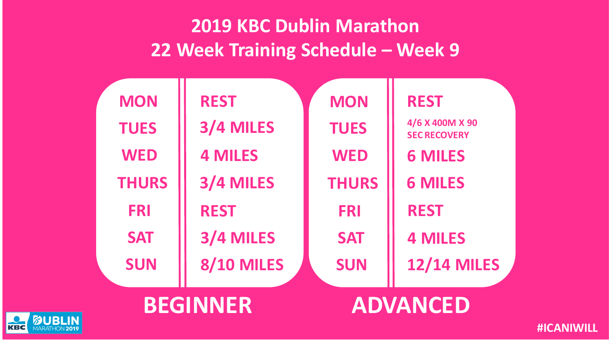| <b>MON</b>   | <b>REST</b>       | <b>MON</b>   | <b>REST</b>                            |
|--------------|-------------------|--------------|----------------------------------------|
| <b>TUES</b>  | 3/4 MILES         | <b>TUES</b>  | 4/6 X 400M X 90<br><b>SEC RECOVERY</b> |
| <b>WED</b>   | <b>4 MILES</b>    | <b>WED</b>   | <b>6 MILES</b>                         |
| <b>THURS</b> | 3/4 MILES         | <b>THURS</b> | <b>6 MILES</b>                         |
| <b>FRI</b>   | <b>REST</b>       | <b>FRI</b>   | <b>REST</b>                            |
| <b>SAT</b>   | 3/4 MILES         | <b>SAT</b>   | <b>4 MILES</b>                         |
| <b>SUN</b>   | <b>8/10 MILES</b> | <b>SUN</b>   | <b>12/14 MILES</b>                     |
|              |                   |              |                                        |



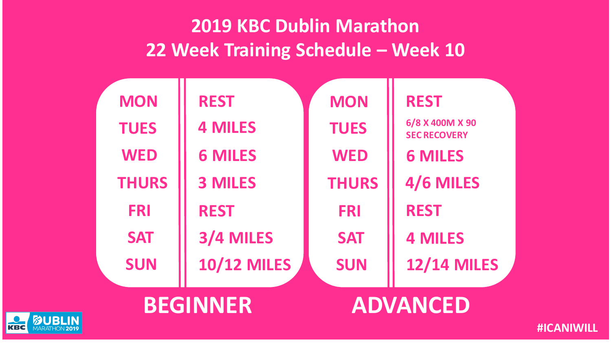| <b>MON</b>   | <b>REST</b>        | <b>MON</b>   | <b>REST</b>                            |  |
|--------------|--------------------|--------------|----------------------------------------|--|
| <b>TUES</b>  | <b>4 MILES</b>     | <b>TUES</b>  | 6/8 X 400M X 90<br><b>SEC RECOVERY</b> |  |
| <b>WED</b>   | <b>6 MILES</b>     | <b>WED</b>   | <b>6 MILES</b>                         |  |
| <b>THURS</b> | <b>3 MILES</b>     | <b>THURS</b> | 4/6 MILES                              |  |
| <b>FRI</b>   | <b>REST</b>        | <b>FRI</b>   | <b>REST</b>                            |  |
| <b>SAT</b>   | 3/4 MILES          | <b>SAT</b>   | <b>4 MILES</b>                         |  |
| <b>SUN</b>   | <b>10/12 MILES</b> | <b>SUN</b>   | <b>12/14 MILES</b>                     |  |
|              |                    |              |                                        |  |

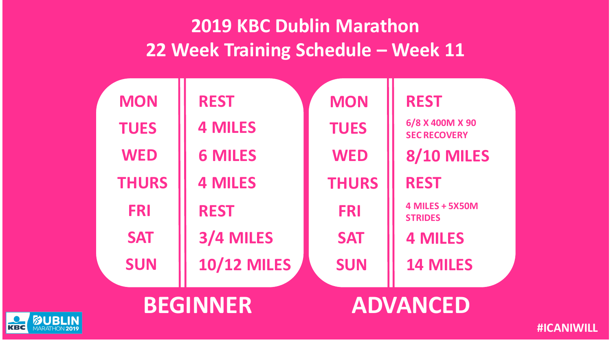| <b>MON</b>      | <b>REST</b>        | <b>MON</b>   | <b>REST</b>                              |
|-----------------|--------------------|--------------|------------------------------------------|
| <b>TUES</b>     | <b>4 MILES</b>     | <b>TUES</b>  | 6/8 X 400M X 90<br><b>SEC RECOVERY</b>   |
| <b>WED</b>      | <b>6 MILES</b>     | <b>WED</b>   | <b>8/10 MILES</b>                        |
| <b>THURS</b>    | <b>4 MILES</b>     | <b>THURS</b> | <b>REST</b>                              |
| <b>FRI</b>      | <b>REST</b>        | <b>FRI</b>   | <b>4 MILES + 5X50M</b><br><b>STRIDES</b> |
| <b>SAT</b>      | 3/4 MILES          | <b>SAT</b>   | <b>4 MILES</b>                           |
| <b>SUN</b>      | <b>10/12 MILES</b> | <b>SUN</b>   | <b>14 MILES</b>                          |
| <b>BEGINNER</b> |                    |              | <b>ADVANCED</b>                          |

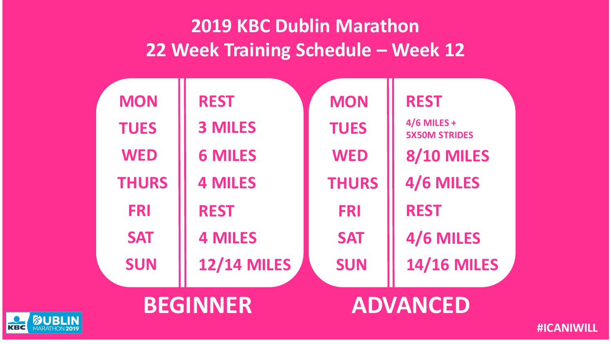| <b>MON</b>   | <b>REST</b>        | <b>MON</b>   | <b>REST</b>                           |
|--------------|--------------------|--------------|---------------------------------------|
| <b>TUES</b>  | <b>3 MILES</b>     | <b>TUES</b>  | $4/6$ MILES +<br><b>5X50M STRIDES</b> |
| <b>WED</b>   | <b>6 MILES</b>     | <b>WED</b>   | <b>8/10 MILES</b>                     |
| <b>THURS</b> | <b>4 MILES</b>     | <b>THURS</b> | 4/6 MILES                             |
| <b>FRI</b>   | <b>REST</b>        | <b>FRI</b>   | <b>REST</b>                           |
| <b>SAT</b>   | <b>4 MILES</b>     | <b>SAT</b>   | 4/6 MILES                             |
| <b>SUN</b>   | <b>12/14 MILES</b> | <b>SUN</b>   | <b>14/16 MILES</b>                    |
|              |                    |              |                                       |

**BEGINNER ADVANCED**

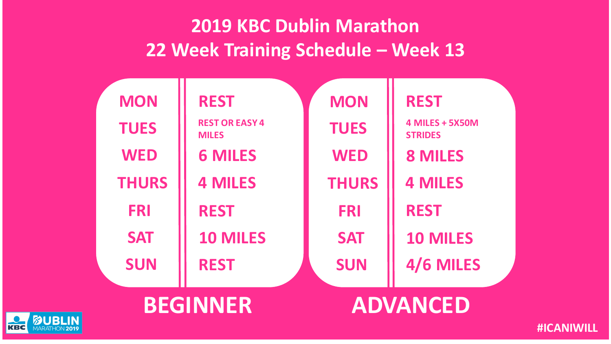| <b>MON</b>   | <b>REST</b>                           | <b>MON</b>   | <b>REST</b>                              |
|--------------|---------------------------------------|--------------|------------------------------------------|
| <b>TUES</b>  | <b>REST OR EASY 4</b><br><b>MILES</b> | <b>TUES</b>  | <b>4 MILES + 5X50M</b><br><b>STRIDES</b> |
| <b>WED</b>   | <b>6 MILES</b>                        | <b>WED</b>   | <b>8 MILES</b>                           |
| <b>THURS</b> | <b>4 MILES</b>                        | <b>THURS</b> | <b>4 MILES</b>                           |
| <b>FRI</b>   | <b>REST</b>                           | <b>FRI</b>   | <b>REST</b>                              |
| <b>SAT</b>   | <b>10 MILES</b>                       | <b>SAT</b>   | <b>10 MILES</b>                          |
| <b>SUN</b>   | <b>REST</b>                           | <b>SUN</b>   | 4/6 MILES                                |
|              |                                       |              |                                          |



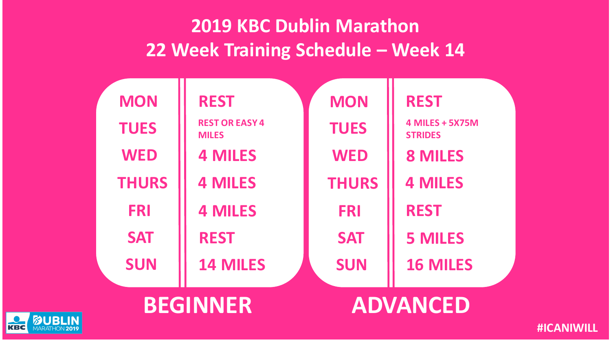| <b>MON</b>   | <b>REST</b>                           | <b>MON</b>   | <b>REST</b>                              |
|--------------|---------------------------------------|--------------|------------------------------------------|
| <b>TUES</b>  | <b>REST OR EASY 4</b><br><b>MILES</b> | <b>TUES</b>  | <b>4 MILES + 5X75M</b><br><b>STRIDES</b> |
| <b>WED</b>   | <b>4 MILES</b>                        | <b>WED</b>   | <b>8 MILES</b>                           |
| <b>THURS</b> | <b>4 MILES</b>                        | <b>THURS</b> | <b>4 MILES</b>                           |
| <b>FRI</b>   | <b>4 MILES</b>                        | <b>FRI</b>   | <b>REST</b>                              |
| <b>SAT</b>   | <b>REST</b>                           | <b>SAT</b>   | <b>5 MILES</b>                           |
| <b>SUN</b>   | <b>14 MILES</b>                       | <b>SUN</b>   | <b>16 MILES</b>                          |
|              |                                       |              |                                          |



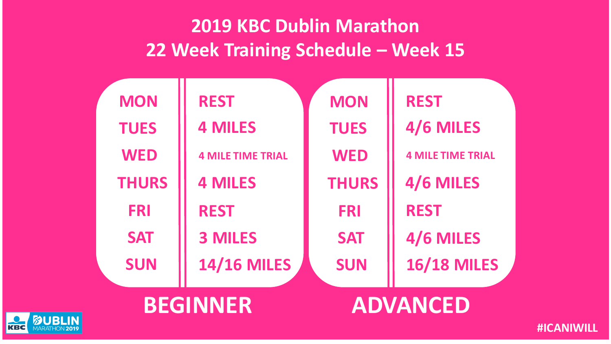| <b>MON</b>   | <b>REST</b>              | <b>MON</b>   | <b>REST</b>              |
|--------------|--------------------------|--------------|--------------------------|
| <b>TUES</b>  | <b>4 MILES</b>           | <b>TUES</b>  | 4/6 MILES                |
| <b>WED</b>   | <b>4 MILE TIME TRIAL</b> | <b>WED</b>   | <b>4 MILE TIME TRIAL</b> |
| <b>THURS</b> | <b>4 MILES</b>           | <b>THURS</b> | 4/6 MILES                |
| <b>FRI</b>   | <b>REST</b>              | <b>FRI</b>   | <b>REST</b>              |
| <b>SAT</b>   | <b>3 MILES</b>           | <b>SAT</b>   | 4/6 MILES                |
| <b>SUN</b>   | <b>14/16 MILES</b>       | <b>SUN</b>   | <b>16/18 MILES</b>       |
|              |                          |              |                          |



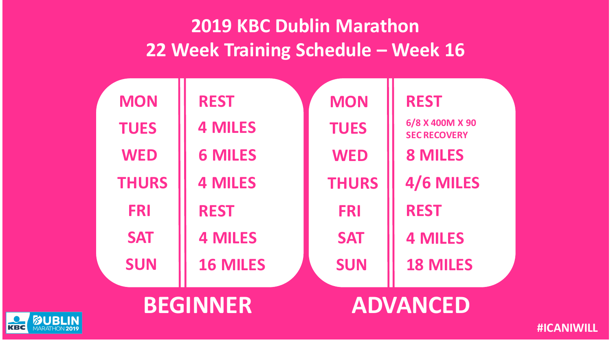| <b>MON</b>   | <b>REST</b>     | <b>MON</b>   | <b>REST</b>                            |
|--------------|-----------------|--------------|----------------------------------------|
| <b>TUES</b>  | <b>4 MILES</b>  | <b>TUES</b>  | 6/8 X 400M X 90<br><b>SEC RECOVERY</b> |
| <b>WED</b>   | <b>6 MILES</b>  | <b>WED</b>   | <b>8 MILES</b>                         |
| <b>THURS</b> | <b>4 MILES</b>  | <b>THURS</b> | 4/6 MILES                              |
| <b>FRI</b>   | <b>REST</b>     | <b>FRI</b>   | <b>REST</b>                            |
| <b>SAT</b>   | <b>4 MILES</b>  | <b>SAT</b>   | <b>4 MILES</b>                         |
| <b>SUN</b>   | <b>16 MILES</b> | <b>SUN</b>   | <b>18 MILES</b>                        |
|              |                 |              |                                        |

**BEGINNER ADVANCED**

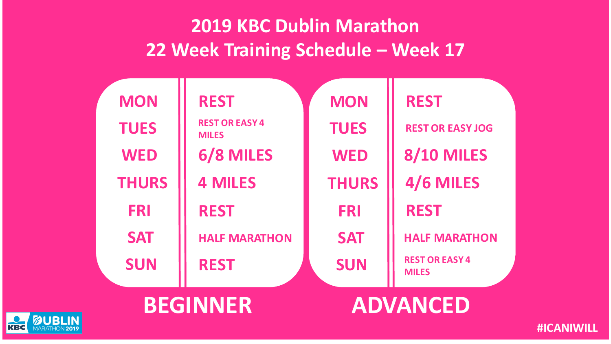| <b>MON</b>   | <b>REST</b>                           | <b>MON</b>   | <b>REST</b>                           |
|--------------|---------------------------------------|--------------|---------------------------------------|
| <b>TUES</b>  | <b>REST OR EASY 4</b><br><b>MILES</b> | <b>TUES</b>  | <b>REST OR EASY JOG</b>               |
| <b>WED</b>   | 6/8 MILES                             | <b>WED</b>   | <b>8/10 MILES</b>                     |
| <b>THURS</b> | <b>4 MILES</b>                        | <b>THURS</b> | 4/6 MILES                             |
| <b>FRI</b>   | <b>REST</b>                           | <b>FRI</b>   | <b>REST</b>                           |
| <b>SAT</b>   | <b>HALF MARATHON</b>                  | <b>SAT</b>   | <b>HALF MARATHON</b>                  |
| <b>SUN</b>   | <b>REST</b>                           | <b>SUN</b>   | <b>REST OR EASY 4</b><br><b>MILES</b> |
|              |                                       |              |                                       |



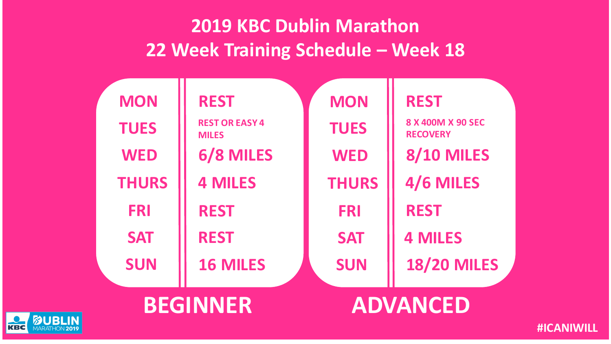| <b>MON</b>   | <b>REST</b>                           | <b>MON</b>   | <b>REST</b>                          |
|--------------|---------------------------------------|--------------|--------------------------------------|
| <b>TUES</b>  | <b>REST OR EASY 4</b><br><b>MILES</b> | <b>TUES</b>  | 8 X 400M X 90 SEC<br><b>RECOVERY</b> |
| <b>WED</b>   | 6/8 MILES                             | <b>WED</b>   | <b>8/10 MILES</b>                    |
| <b>THURS</b> | <b>4 MILES</b>                        | <b>THURS</b> | 4/6 MILES                            |
| <b>FRI</b>   | <b>REST</b>                           | <b>FRI</b>   | <b>REST</b>                          |
| <b>SAT</b>   | <b>REST</b>                           | <b>SAT</b>   | <b>4 MILES</b>                       |
| <b>SUN</b>   | <b>16 MILES</b>                       | <b>SUN</b>   | <b>18/20 MILES</b>                   |
|              |                                       |              |                                      |

**BEGINNER ADVANCED**

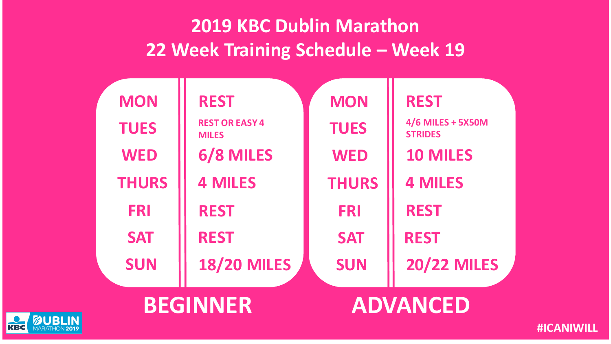| <b>MON</b>   | <b>REST</b>                           | <b>MON</b>   | <b>REST</b>                         |
|--------------|---------------------------------------|--------------|-------------------------------------|
| <b>TUES</b>  | <b>REST OR EASY 4</b><br><b>MILES</b> | <b>TUES</b>  | 4/6 MILES + 5X50M<br><b>STRIDES</b> |
| <b>WED</b>   | 6/8 MILES                             | <b>WED</b>   | <b>10 MILES</b>                     |
| <b>THURS</b> | <b>4 MILES</b>                        | <b>THURS</b> | <b>4 MILES</b>                      |
| <b>FRI</b>   | <b>REST</b>                           | <b>FRI</b>   | <b>REST</b>                         |
| <b>SAT</b>   | <b>REST</b>                           | <b>SAT</b>   | <b>REST</b>                         |
| <b>SUN</b>   | <b>18/20 MILES</b>                    | <b>SUN</b>   | <b>20/22 MILES</b>                  |
|              | <b>BEGINNER</b>                       |              | <b>ADVANCED</b>                     |

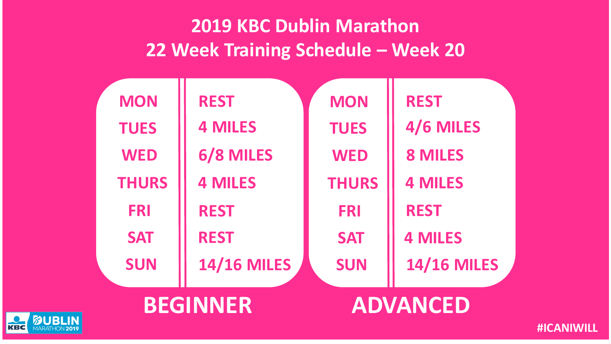| <b>MON</b>   | <b>REST</b>        | <b>MON</b>   | <b>REST</b>        |
|--------------|--------------------|--------------|--------------------|
| <b>TUES</b>  | <b>4 MILES</b>     | <b>TUES</b>  | 4/6 MILES          |
| <b>WED</b>   | 6/8 MILES          | <b>WED</b>   | <b>8 MILES</b>     |
| <b>THURS</b> | <b>4 MILES</b>     | <b>THURS</b> | <b>4 MILES</b>     |
| <b>FRI</b>   | <b>REST</b>        | <b>FRI</b>   | <b>REST</b>        |
| <b>SAT</b>   | <b>REST</b>        | <b>SAT</b>   | <b>4 MILES</b>     |
| <b>SUN</b>   | <b>14/16 MILES</b> | <b>SUN</b>   | <b>14/16 MILES</b> |
|              | <b>BEGINNER</b>    |              | ADVANCED           |

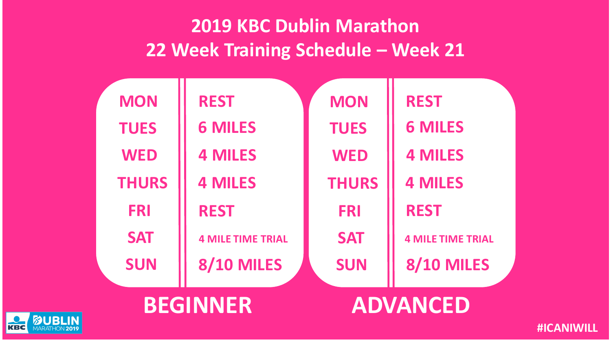| <b>MON</b>   | <b>REST</b>              | <b>MON</b>   | <b>REST</b>              |
|--------------|--------------------------|--------------|--------------------------|
| <b>TUES</b>  | <b>6 MILES</b>           | <b>TUES</b>  | <b>6 MILES</b>           |
| <b>WED</b>   | <b>4 MILES</b>           | <b>WED</b>   | <b>4 MILES</b>           |
| <b>THURS</b> | <b>4 MILES</b>           | <b>THURS</b> | <b>4 MILES</b>           |
| <b>FRI</b>   | <b>REST</b>              | <b>FRI</b>   | <b>REST</b>              |
| <b>SAT</b>   | <b>4 MILE TIME TRIAL</b> | <b>SAT</b>   | <b>4 MILE TIME TRIAL</b> |
| <b>SUN</b>   | <b>8/10 MILES</b>        | <b>SUN</b>   | <b>8/10 MILES</b>        |
|              |                          |              |                          |



**KBC** 

**BEGINNER ADVANCED**